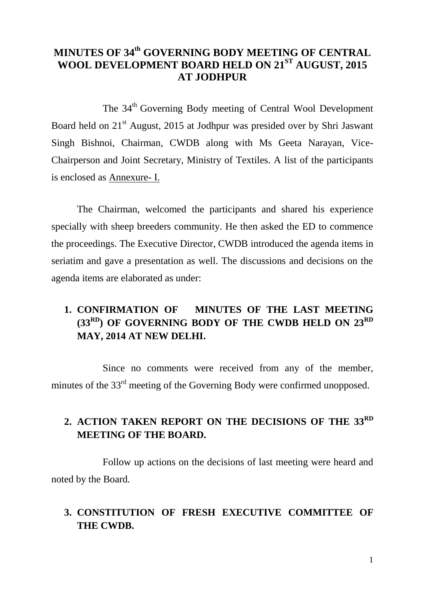## **MINUTES OF 34 th GOVERNING BODY MEETING OF CENTRAL WOOL DEVELOPMENT BOARD HELD ON 21ST AUGUST, 2015 AT JODHPUR**

The 34<sup>th</sup> Governing Body meeting of Central Wool Development Board held on 21<sup>st</sup> August, 2015 at Jodhpur was presided over by Shri Jaswant Singh Bishnoi, Chairman, CWDB along with Ms Geeta Narayan, Vice-Chairperson and Joint Secretary, Ministry of Textiles. A list of the participants is enclosed as Annexure- I.

The Chairman, welcomed the participants and shared his experience specially with sheep breeders community. He then asked the ED to commence the proceedings. The Executive Director, CWDB introduced the agenda items in seriatim and gave a presentation as well. The discussions and decisions on the agenda items are elaborated as under:

## **1. CONFIRMATION OF MINUTES OF THE LAST MEETING (33RD) OF GOVERNING BODY OF THE CWDB HELD ON 23RD MAY, 2014 AT NEW DELHI.**

Since no comments were received from any of the member, minutes of the  $33<sup>rd</sup>$  meeting of the Governing Body were confirmed unopposed.

# **2. ACTION TAKEN REPORT ON THE DECISIONS OF THE 33RD MEETING OF THE BOARD.**

Follow up actions on the decisions of last meeting were heard and noted by the Board.

## **3. CONSTITUTION OF FRESH EXECUTIVE COMMITTEE OF THE CWDB.**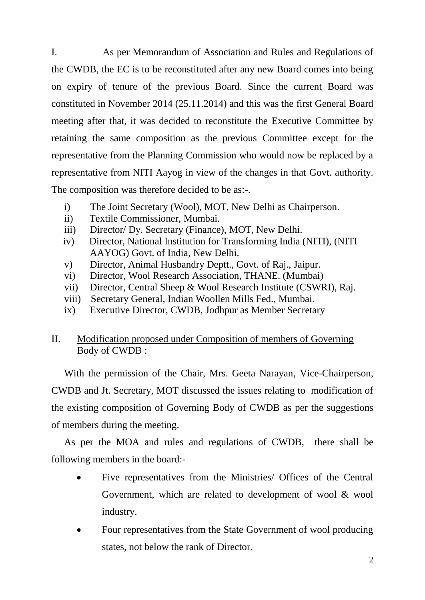I. As per Memorandum of Association and Rules and Regulations of the CWDB, the EC is to be reconstituted after any new Board comes into being on expiry of tenure of the previous Board. Since the current Board was constituted in November 2014 (25.11.2014) and this was the first General Board meeting after that, it was decided to reconstitute the Executive Committee by retaining the same composition as the previous Committee except for the representative from the Planning Commission who would now be replaced by a representative from NITI Aayog in view of the changes in that Govt. authority. The composition was therefore decided to be as:-.

- i) The Joint Secretary (Wool), MOT, New Delhi as Chairperson.
- ii) Textile Commissioner, Mumbai.
- iii) Director/ Dy. Secretary (Finance), MOT, New Delhi.
- iv) Director, National Institution for Transforming India (NITI), (NITI AAYOG) Govt. of India, New Delhi.
- v) Director, Animal Husbandry Deptt., Govt. of Raj., Jaipur.
- vi) Director, Wool Research Association, THANE. (Mumbai)
- vii) Director, Central Sheep & Wool Research Institute (CSWRI), Raj.
- viii) Secretary General, Indian Woollen Mills Fed., Mumbai.
- ix) Executive Director, CWDB, Jodhpur as Member Secretary

## II. Modification proposed under Composition of members of Governing Body of CWDB :

With the permission of the Chair, Mrs. Geeta Narayan, Vice-Chairperson, CWDB and Jt. Secretary, MOT discussed the issues relating to modification of the existing composition of Governing Body of CWDB as per the suggestions of members during the meeting.

As per the MOA and rules and regulations of CWDB, there shall be following members in the board:-

- Five representatives from the Ministries/ Offices of the Central Government, which are related to development of wool & wool industry.
- Four representatives from the State Government of wool producing states, not below the rank of Director.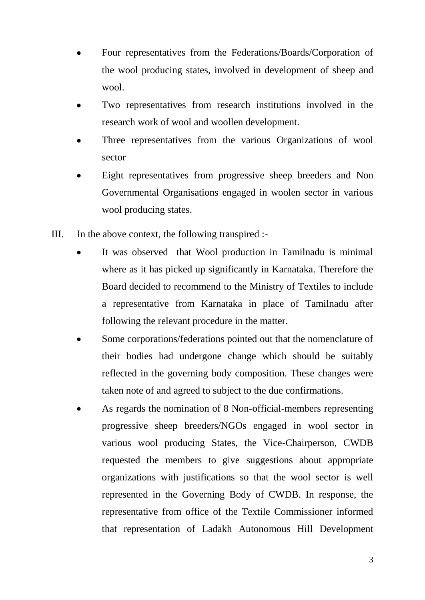- Four representatives from the Federations/Boards/Corporation of the wool producing states, involved in development of sheep and wool.
- Two representatives from research institutions involved in the research work of wool and woollen development.
- Three representatives from the various Organizations of wool sector
- Eight representatives from progressive sheep breeders and Non Governmental Organisations engaged in woolen sector in various wool producing states.
- III. In the above context, the following transpired :-
	- It was observed that Wool production in Tamilnadu is minimal where as it has picked up significantly in Karnataka. Therefore the Board decided to recommend to the Ministry of Textiles to include a representative from Karnataka in place of Tamilnadu after following the relevant procedure in the matter.
	- Some corporations/federations pointed out that the nomenclature of their bodies had undergone change which should be suitably reflected in the governing body composition. These changes were taken note of and agreed to subject to the due confirmations.
	- As regards the nomination of 8 Non-official-members representing progressive sheep breeders/NGOs engaged in wool sector in various wool producing States, the Vice-Chairperson, CWDB requested the members to give suggestions about appropriate organizations with justifications so that the wool sector is well represented in the Governing Body of CWDB. In response, the representative from office of the Textile Commissioner informed that representation of Ladakh Autonomous Hill Development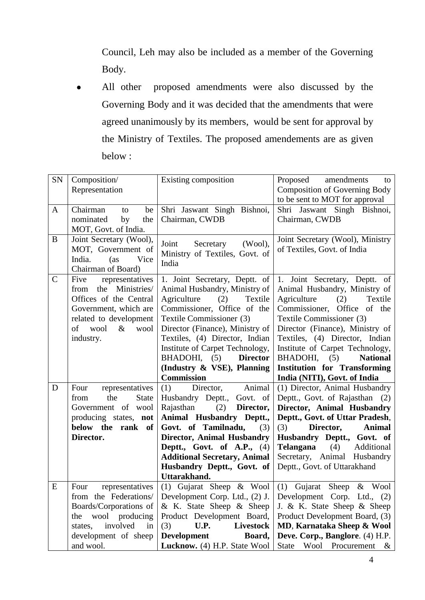Council, Leh may also be included as a member of the Governing Body.

All other proposed amendments were also discussed by the  $\bullet$ Governing Body and it was decided that the amendments that were agreed unanimously by its members, would be sent for approval by the Ministry of Textiles. The proposed amendements are as given below :

| SN            | Composition/<br>Representation                                                                                                                                             | Existing composition                                                                                                                                                                                                                                                                                                             | Proposed<br>amendments<br>to<br><b>Composition of Governing Body</b><br>to be sent to MOT for approval                                                                                                                                                                                                                                |
|---------------|----------------------------------------------------------------------------------------------------------------------------------------------------------------------------|----------------------------------------------------------------------------------------------------------------------------------------------------------------------------------------------------------------------------------------------------------------------------------------------------------------------------------|---------------------------------------------------------------------------------------------------------------------------------------------------------------------------------------------------------------------------------------------------------------------------------------------------------------------------------------|
| A             | Chairman<br>be<br>to<br>nominated<br>by<br>the<br>MOT, Govt. of India.                                                                                                     | Shri Jaswant Singh Bishnoi,<br>Chairman, CWDB                                                                                                                                                                                                                                                                                    | Shri Jaswant Singh Bishnoi,<br>Chairman, CWDB                                                                                                                                                                                                                                                                                         |
| B             | Joint Secretary (Wool),<br>MOT, Government of<br>Vice<br>India.<br>(as)<br>Chairman of Board)                                                                              | Joint<br>Secretary<br>(Wool),<br>Ministry of Textiles, Govt. of<br>India                                                                                                                                                                                                                                                         | Joint Secretary (Wool), Ministry<br>of Textiles, Govt. of India                                                                                                                                                                                                                                                                       |
| $\mathcal{C}$ | Five<br>representatives<br>the Ministries/<br>from<br>Offices of the Central<br>Government, which are<br>related to development<br>wool<br>$\&$<br>of<br>wool<br>industry. | 1. Joint Secretary, Deptt. of<br>Animal Husbandry, Ministry of<br>Agriculture<br>(2)<br>Textile<br>Commissioner, Office of the<br>Textile Commissioner (3)<br>Director (Finance), Ministry of<br>Textiles, (4) Director, Indian<br>Institute of Carpet Technology,<br><b>Director</b><br>BHADOHI, (5)                            | 1. Joint Secretary, Deptt. of<br>Animal Husbandry, Ministry of<br>Agriculture<br>Textile<br>(2)<br>Commissioner, Office of the<br>Textile Commissioner (3)<br>Director (Finance), Ministry of<br>Textiles, (4) Director, Indian<br>Institute of Carpet Technology,<br>BHADOHI,<br>(5)<br><b>National</b>                              |
|               |                                                                                                                                                                            | (Industry & VSE), Planning                                                                                                                                                                                                                                                                                                       | <b>Institution for Transforming</b>                                                                                                                                                                                                                                                                                                   |
| D             | Four<br>representatives<br>the<br><b>State</b><br>from<br>Government of wool<br>producing states, not<br>below the rank of<br>Director.                                    | <b>Commission</b><br>Animal<br>(1)<br>Director,<br>Husbandry Deptt., Govt. of<br>Rajasthan<br>(2)<br>Director,<br>Animal Husbandry Deptt.,<br>Govt. of Tamilnadu,<br>(3)<br><b>Director, Animal Husbandry</b><br>Deptt., Govt. of A.P., (4)<br><b>Additional Secretary, Animal</b><br>Husbandry Deptt., Govt. of<br>Uttarakhand. | India (NITI), Govt. of India<br>(1) Director, Animal Husbandry<br>Deptt., Govt. of Rajasthan (2)<br>Director, Animal Husbandry<br>Deptt., Govt. of Uttar Pradesh,<br>(3)<br>Director,<br><b>Animal</b><br>Husbandry Deptt., Govt. of<br>Telangana<br>(4)<br>Additional<br>Secretary, Animal Husbandry<br>Deptt., Govt. of Uttarakhand |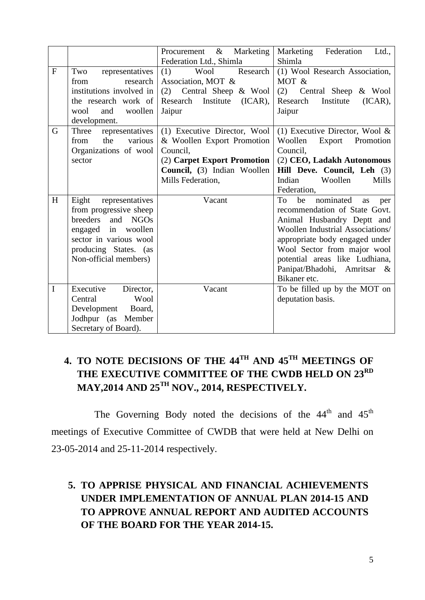|              |                                                                                                                                                                           | Marketing<br>Procurement $\&$<br>Federation Ltd., Shimla                                                                                                  | Marketing<br>Federation<br>Ltd.,<br>Shimla                                                                                                                                                                                                                                                     |
|--------------|---------------------------------------------------------------------------------------------------------------------------------------------------------------------------|-----------------------------------------------------------------------------------------------------------------------------------------------------------|------------------------------------------------------------------------------------------------------------------------------------------------------------------------------------------------------------------------------------------------------------------------------------------------|
| $\mathbf{F}$ | Two<br>representatives<br>research<br>from<br>institutions involved in<br>the research work of<br>and<br>woollen<br>wool<br>development.                                  | Research<br>(1)<br>Wool<br>Association, MOT &<br>(2) Central Sheep & Wool<br>Research Institute<br>(ICAR),<br>Jaipur                                      | (1) Wool Research Association,<br>MOT &<br>(2)<br>Central Sheep & Wool<br>Research<br>Institute<br>(ICAR),<br>Jaipur                                                                                                                                                                           |
| G            | Three<br>representatives<br>the<br>various<br>from<br>Organizations of wool<br>sector                                                                                     | (1) Executive Director, Wool<br>& Woollen Export Promotion<br>Council,<br>(2) Carpet Export Promotion<br>Council, (3) Indian Woollen<br>Mills Federation, | (1) Executive Director, Wool $\&$<br>Woollen<br>Export<br>Promotion<br>Council,<br>(2) CEO, Ladakh Autonomous<br>Hill Deve. Council, Leh (3)<br>Indian<br>Woollen<br>Mills<br>Federation,                                                                                                      |
| H            | Eight<br>representatives<br>from progressive sheep<br>breeders and NGOs<br>engaged in woollen<br>sector in various wool<br>producing States. (as<br>Non-official members) | Vacant                                                                                                                                                    | nominated<br>To<br>be<br>as<br>per<br>recommendation of State Govt.<br>Animal Husbandry Deptt and<br>Woollen Industrial Associations/<br>appropriate body engaged under<br>Wool Sector from major wool<br>potential areas like Ludhiana,<br>Panipat/Bhadohi, Amritsar<br>$-\&$<br>Bikaner etc. |
| $\mathbf I$  | Executive<br>Director,<br>Wool<br>Central<br>Development Board,<br>Jodhpur (as Member<br>Secretary of Board).                                                             | Vacant                                                                                                                                                    | To be filled up by the MOT on<br>deputation basis.                                                                                                                                                                                                                                             |

# **4. TO NOTE DECISIONS OF THE 44TH AND 45TH MEETINGS OF THE EXECUTIVE COMMITTEE OF THE CWDB HELD ON 23RD MAY,2014 AND 25TH NOV., 2014, RESPECTIVELY.**

The Governing Body noted the decisions of the  $44<sup>th</sup>$  and  $45<sup>th</sup>$ meetings of Executive Committee of CWDB that were held at New Delhi on 23-05-2014 and 25-11-2014 respectively.

## **5. TO APPRISE PHYSICAL AND FINANCIAL ACHIEVEMENTS UNDER IMPLEMENTATION OF ANNUAL PLAN 2014-15 AND TO APPROVE ANNUAL REPORT AND AUDITED ACCOUNTS OF THE BOARD FOR THE YEAR 2014-15.**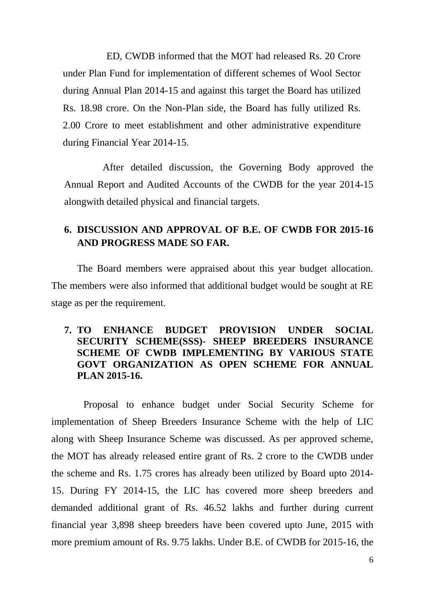ED, CWDB informed that the MOT had released Rs. 20 Crore under Plan Fund for implementation of different schemes of Wool Sector during Annual Plan 2014-15 and against this target the Board has utilized Rs. 18.98 crore. On the Non-Plan side, the Board has fully utilized Rs. 2.00 Crore to meet establishment and other administrative expenditure during Financial Year 2014-15.

After detailed discussion, the Governing Body approved the Annual Report and Audited Accounts of the CWDB for the year 2014-15 alongwith detailed physical and financial targets.

## **6. DISCUSSION AND APPROVAL OF B.E. OF CWDB FOR 2015-16 AND PROGRESS MADE SO FAR.**

The Board members were appraised about this year budget allocation. The members were also informed that additional budget would be sought at RE stage as per the requirement.

#### **7. TO ENHANCE BUDGET PROVISION UNDER SOCIAL SECURITY SCHEME(SSS)- SHEEP BREEDERS INSURANCE SCHEME OF CWDB IMPLEMENTING BY VARIOUS STATE GOVT ORGANIZATION AS OPEN SCHEME FOR ANNUAL PLAN 2015-16.**

Proposal to enhance budget under Social Security Scheme for implementation of Sheep Breeders Insurance Scheme with the help of LIC along with Sheep Insurance Scheme was discussed. As per approved scheme, the MOT has already released entire grant of Rs. 2 crore to the CWDB under the scheme and Rs. 1.75 crores has already been utilized by Board upto 2014- 15. During FY 2014-15, the LIC has covered more sheep breeders and demanded additional grant of Rs. 46.52 lakhs and further during current financial year 3,898 sheep breeders have been covered upto June, 2015 with more premium amount of Rs. 9.75 lakhs. Under B.E. of CWDB for 2015-16, the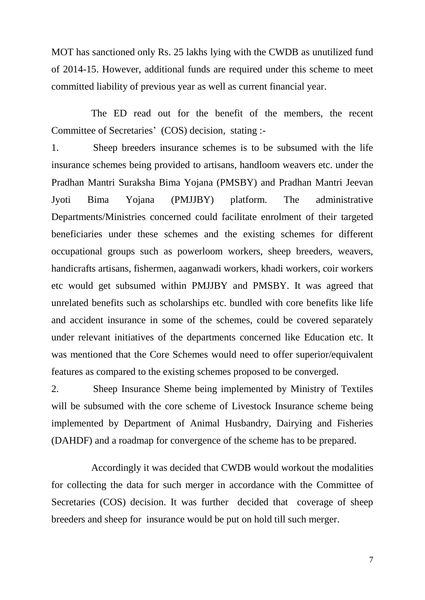MOT has sanctioned only Rs. 25 lakhs lying with the CWDB as unutilized fund of 2014-15. However, additional funds are required under this scheme to meet committed liability of previous year as well as current financial year.

 The ED read out for the benefit of the members, the recent Committee of Secretaries' (COS) decision, stating :-

1. Sheep breeders insurance schemes is to be subsumed with the life insurance schemes being provided to artisans, handloom weavers etc. under the Pradhan Mantri Suraksha Bima Yojana (PMSBY) and Pradhan Mantri Jeevan Jyoti Bima Yojana (PMJJBY) platform. The administrative Departments/Ministries concerned could facilitate enrolment of their targeted beneficiaries under these schemes and the existing schemes for different occupational groups such as powerloom workers, sheep breeders, weavers, handicrafts artisans, fishermen, aaganwadi workers, khadi workers, coir workers etc would get subsumed within PMJJBY and PMSBY. It was agreed that unrelated benefits such as scholarships etc. bundled with core benefits like life and accident insurance in some of the schemes, could be covered separately under relevant initiatives of the departments concerned like Education etc. It was mentioned that the Core Schemes would need to offer superior/equivalent features as compared to the existing schemes proposed to be converged.

2. Sheep Insurance Sheme being implemented by Ministry of Textiles will be subsumed with the core scheme of Livestock Insurance scheme being implemented by Department of Animal Husbandry, Dairying and Fisheries (DAHDF) and a roadmap for convergence of the scheme has to be prepared.

 Accordingly it was decided that CWDB would workout the modalities for collecting the data for such merger in accordance with the Committee of Secretaries (COS) decision. It was further decided that coverage of sheep breeders and sheep for insurance would be put on hold till such merger.

7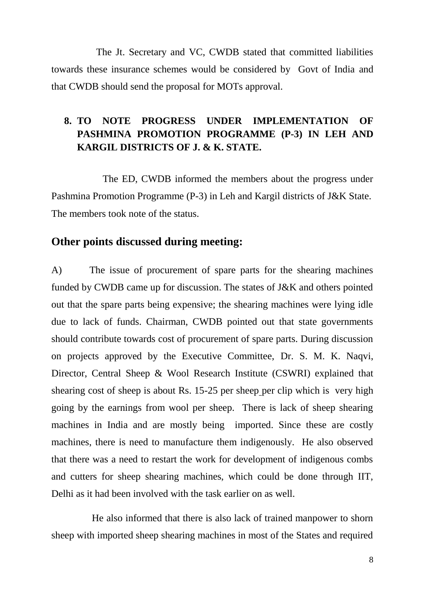The Jt. Secretary and VC, CWDB stated that committed liabilities towards these insurance schemes would be considered by Govt of India and that CWDB should send the proposal for MOTs approval.

## **8. TO NOTE PROGRESS UNDER IMPLEMENTATION OF PASHMINA PROMOTION PROGRAMME (P-3) IN LEH AND KARGIL DISTRICTS OF J. & K. STATE.**

The ED, CWDB informed the members about the progress under Pashmina Promotion Programme (P-3) in Leh and Kargil districts of J&K State. The members took note of the status.

## **Other points discussed during meeting:**

A) The issue of procurement of spare parts for the shearing machines funded by CWDB came up for discussion. The states of J&K and others pointed out that the spare parts being expensive; the shearing machines were lying idle due to lack of funds. Chairman, CWDB pointed out that state governments should contribute towards cost of procurement of spare parts. During discussion on projects approved by the Executive Committee, Dr. S. M. K. Naqvi, Director, Central Sheep & Wool Research Institute (CSWRI) explained that shearing cost of sheep is about Rs. 15-25 per sheep per clip which is very high going by the earnings from wool per sheep. There is lack of sheep shearing machines in India and are mostly being imported. Since these are costly machines, there is need to manufacture them indigenously. He also observed that there was a need to restart the work for development of indigenous combs and cutters for sheep shearing machines, which could be done through IIT, Delhi as it had been involved with the task earlier on as well.

 He also informed that there is also lack of trained manpower to shorn sheep with imported sheep shearing machines in most of the States and required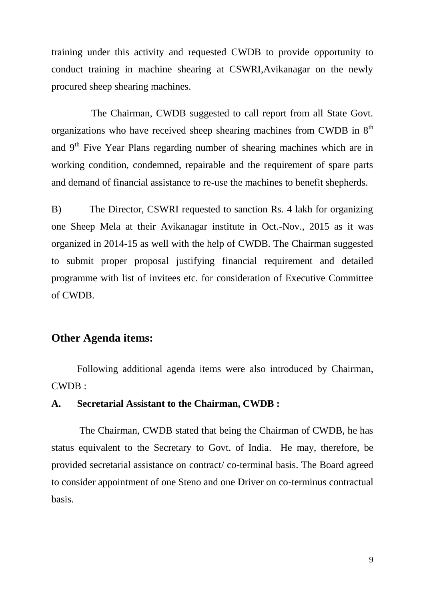training under this activity and requested CWDB to provide opportunity to conduct training in machine shearing at CSWRI,Avikanagar on the newly procured sheep shearing machines.

 The Chairman, CWDB suggested to call report from all State Govt. organizations who have received sheep shearing machines from CWDB in  $8<sup>th</sup>$ and 9<sup>th</sup> Five Year Plans regarding number of shearing machines which are in working condition, condemned, repairable and the requirement of spare parts and demand of financial assistance to re-use the machines to benefit shepherds.

B) The Director, CSWRI requested to sanction Rs. 4 lakh for organizing one Sheep Mela at their Avikanagar institute in Oct.-Nov., 2015 as it was organized in 2014-15 as well with the help of CWDB. The Chairman suggested to submit proper proposal justifying financial requirement and detailed programme with list of invitees etc. for consideration of Executive Committee of CWDB.

## **Other Agenda items:**

Following additional agenda items were also introduced by Chairman, CWDB :

#### **A. Secretarial Assistant to the Chairman, CWDB :**

The Chairman, CWDB stated that being the Chairman of CWDB, he has status equivalent to the Secretary to Govt. of India. He may, therefore, be provided secretarial assistance on contract/ co-terminal basis. The Board agreed to consider appointment of one Steno and one Driver on co-terminus contractual basis.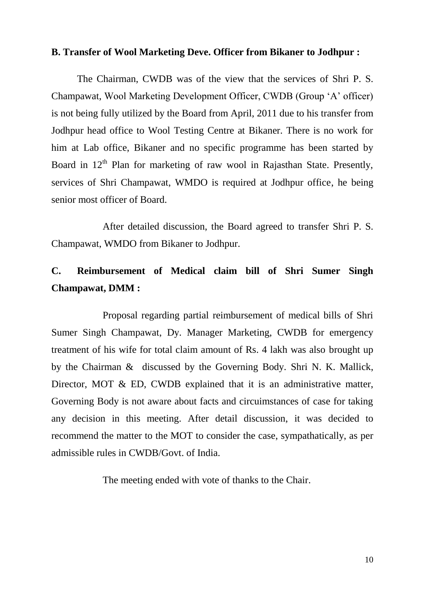#### **B. Transfer of Wool Marketing Deve. Officer from Bikaner to Jodhpur :**

The Chairman, CWDB was of the view that the services of Shri P. S. Champawat, Wool Marketing Development Officer, CWDB (Group 'A' officer) is not being fully utilized by the Board from April, 2011 due to his transfer from Jodhpur head office to Wool Testing Centre at Bikaner. There is no work for him at Lab office, Bikaner and no specific programme has been started by Board in  $12<sup>th</sup>$  Plan for marketing of raw wool in Rajasthan State. Presently, services of Shri Champawat, WMDO is required at Jodhpur office, he being senior most officer of Board.

After detailed discussion, the Board agreed to transfer Shri P. S. Champawat, WMDO from Bikaner to Jodhpur.

# **C. Reimbursement of Medical claim bill of Shri Sumer Singh Champawat, DMM :**

Proposal regarding partial reimbursement of medical bills of Shri Sumer Singh Champawat, Dy. Manager Marketing, CWDB for emergency treatment of his wife for total claim amount of Rs. 4 lakh was also brought up by the Chairman & discussed by the Governing Body. Shri N. K. Mallick, Director, MOT & ED, CWDB explained that it is an administrative matter, Governing Body is not aware about facts and circuimstances of case for taking any decision in this meeting. After detail discussion, it was decided to recommend the matter to the MOT to consider the case, sympathatically, as per admissible rules in CWDB/Govt. of India.

The meeting ended with vote of thanks to the Chair.